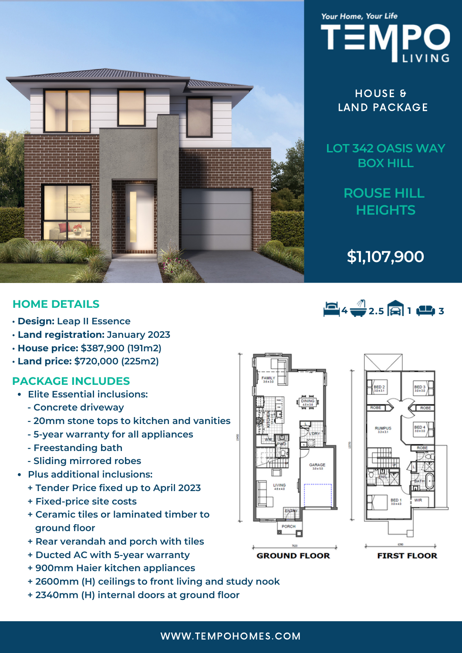



HOUSE & LAND PACKAGE

**LOT 342 OASIS WAY BOX HILL**

> **ROUSE HILL HEIGHTS**

**\$1,107,900**

 $4 + 2.5 = 1 + 3$ 

## **HOME DETAILS**

- **• Design: Leap II Essence**
- **• Land registration: January 2023**
- **• House price: \$387,900 (191m2)**
- **• Land price: \$720,000 (225m2)**

## **PACKAGE INCLUDES**

- **Elite Essential inclusions:**
	- **- Concrete driveway**
	- **- 20mm stone tops to kitchen and vanities**
	- **- 5-year warranty for all appliances**
	- **- Freestanding bath**
	- **- Sliding mirrored robes**
- **Plus additional inclusions:**
	- **+ Tender Price fixed up to April 2023**
	- **+ Fixed-price site costs**
	- **+ Ceramic tiles or laminated timber to ground floor**
	- **+ Rear verandah and porch with tiles**
	- **+ Ducted AC with 5-year warranty**
	- **+ 900mm Haier kitchen appliances**
	- **+ 2600mm (H) ceilings to front living and study nook**
	- **+ 2340mm (H) internal doors at ground floor**





**GROUND FLOOR** 

**FIRST FLOOR** 

WWW.TEMPOHOMES.COM